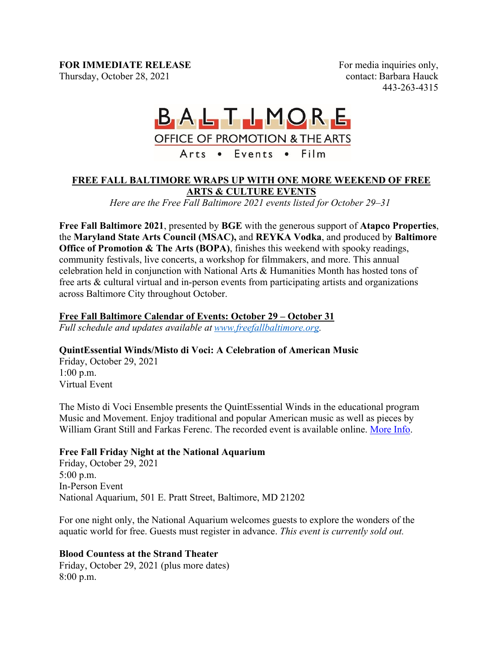### **FOR IMMEDIATE RELEASE**

Thursday, October 28, 2021

For media inquiries only,  contact: Barbara Hauck  443-263-4315 

# BALTIMORE OFFICE OF PROMOTION & THE ARTS Arts . Events . Film

#### **FREE FALL BALTIMORE WRAPS UP WITH ONE MORE WEEKEND OF FREE ARTS & CULTURE EVENTS**

*Here are the Free Fall Baltimore 2021 events listed for October 29–31*

**Free Fall Baltimore 2021**, presented by **BGE** with the generous support of **Atapco Properties**, the **Maryland State Arts Council (MSAC),** and **REYKA Vodka**, and produced by **Baltimore Office of Promotion & The Arts (BOPA)**, finishes this weekend with spooky readings, community festivals, live concerts, a workshop for filmmakers, and more. This annual celebration held in conjunction with National Arts & Humanities Month has hosted tons of free arts & cultural virtual and in-person events from participating artists and organizations across Baltimore City throughout October.

## **Free Fall Baltimore Calendar of Events: October 29 – October 31**

*Full schedule and updates available at www.freefallbaltimore.org.*

## **QuintEssential Winds/Misto di Voci: A Celebration of American Music**

Friday, October 29, 2021 1:00 p.m. Virtual Event

The Misto di Voci Ensemble presents the QuintEssential Winds in the educational program Music and Movement. Enjoy traditional and popular American music as well as pieces by William Grant Still and Farkas Ferenc. The recorded event is available online. More Info.

## **Free Fall Friday Night at the National Aquarium**

Friday, October 29, 2021 5:00 p.m. In-Person Event National Aquarium, 501 E. Pratt Street, Baltimore, MD 21202

For one night only, the National Aquarium welcomes guests to explore the wonders of the aquatic world for free. Guests must register in advance. *This event is currently sold out.*

## **Blood Countess at the Strand Theater**

Friday, October 29, 2021 (plus more dates) 8:00 p.m.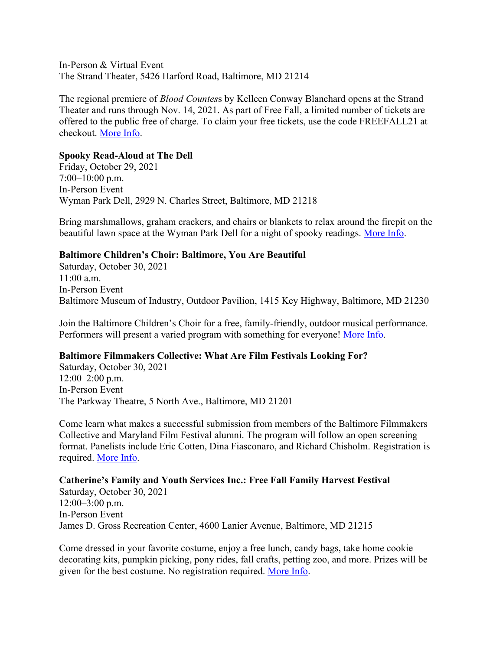In-Person & Virtual Event The Strand Theater, 5426 Harford Road, Baltimore, MD 21214

The regional premiere of *Blood Countes*s by Kelleen Conway Blanchard opens at the Strand Theater and runs through Nov. 14, 2021. As part of Free Fall, a limited number of tickets are offered to the public free of charge. To claim your free tickets, use the code FREEFALL21 at checkout. More Info.

#### **Spooky Read-Aloud at The Dell**

Friday, October 29, 2021 7:00–10:00 p.m. In-Person Event Wyman Park Dell, 2929 N. Charles Street, Baltimore, MD 21218

Bring marshmallows, graham crackers, and chairs or blankets to relax around the firepit on the beautiful lawn space at the Wyman Park Dell for a night of spooky readings. More Info.

#### **Baltimore Children's Choir: Baltimore, You Are Beautiful**

Saturday, October 30, 2021 11:00 a.m. In-Person Event Baltimore Museum of Industry, Outdoor Pavilion, 1415 Key Highway, Baltimore, MD 21230

Join the Baltimore Children's Choir for a free, family-friendly, outdoor musical performance. Performers will present a varied program with something for everyone! More Info.

#### **Baltimore Filmmakers Collective: What Are Film Festivals Looking For?**

Saturday, October 30, 2021 12:00–2:00 p.m. In-Person Event The Parkway Theatre, 5 North Ave., Baltimore, MD 21201

Come learn what makes a successful submission from members of the Baltimore Filmmakers Collective and Maryland Film Festival alumni. The program will follow an open screening format. Panelists include Eric Cotten, Dina Fiasconaro, and Richard Chisholm. Registration is required. More Info.

#### **Catherine's Family and Youth Services Inc.: Free Fall Family Harvest Festival**

Saturday, October 30, 2021 12:00–3:00 p.m. In-Person Event James D. Gross Recreation Center, 4600 Lanier Avenue, Baltimore, MD 21215

Come dressed in your favorite costume, enjoy a free lunch, candy bags, take home cookie decorating kits, pumpkin picking, pony rides, fall crafts, petting zoo, and more. Prizes will be given for the best costume. No registration required. More Info.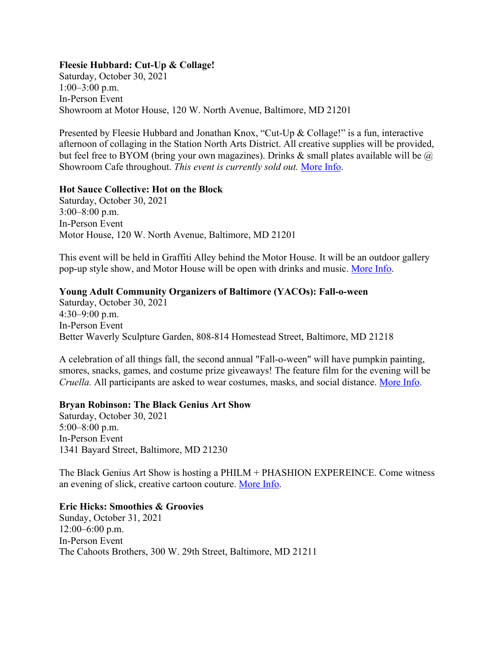#### **Fleesie Hubbard: Cut-Up & Collage!**

Saturday, October 30, 2021 1:00–3:00 p.m. In-Person Event Showroom at Motor House, 120 W. North Avenue, Baltimore, MD 21201

Presented by Fleesie Hubbard and Jonathan Knox, "Cut-Up & Collage!" is a fun, interactive afternoon of collaging in the Station North Arts District. All creative supplies will be provided, but feel free to BYOM (bring your own magazines). Drinks & small plates available will be  $\omega$ Showroom Cafe throughout. *This event is currently sold out.* More Info.

#### **Hot Sauce Collective: Hot on the Block**

Saturday, October 30, 2021 3:00–8:00 p.m. In-Person Event Motor House, 120 W. North Avenue, Baltimore, MD 21201

This event will be held in Graffiti Alley behind the Motor House. It will be an outdoor gallery pop-up style show, and Motor House will be open with drinks and music. More Info.

#### **Young Adult Community Organizers of Baltimore (YACOs): Fall-o-ween**

Saturday, October 30, 2021 4:30–9:00 p.m. In-Person Event Better Waverly Sculpture Garden, 808-814 Homestead Street, Baltimore, MD 21218

A celebration of all things fall, the second annual "Fall-o-ween" will have pumpkin painting, smores, snacks, games, and costume prize giveaways! The feature film for the evening will be *Cruella.* All participants are asked to wear costumes, masks, and social distance. More Info.

#### **Bryan Robinson: The Black Genius Art Show**

Saturday, October 30, 2021 5:00–8:00 p.m. In-Person Event 1341 Bayard Street, Baltimore, MD 21230

The Black Genius Art Show is hosting a PHILM + PHASHION EXPEREINCE. Come witness an evening of slick, creative cartoon couture. More Info.

#### **Eric Hicks: Smoothies & Groovies**

Sunday, October 31, 2021 12:00–6:00 p.m. In-Person Event The Cahoots Brothers, 300 W. 29th Street, Baltimore, MD 21211